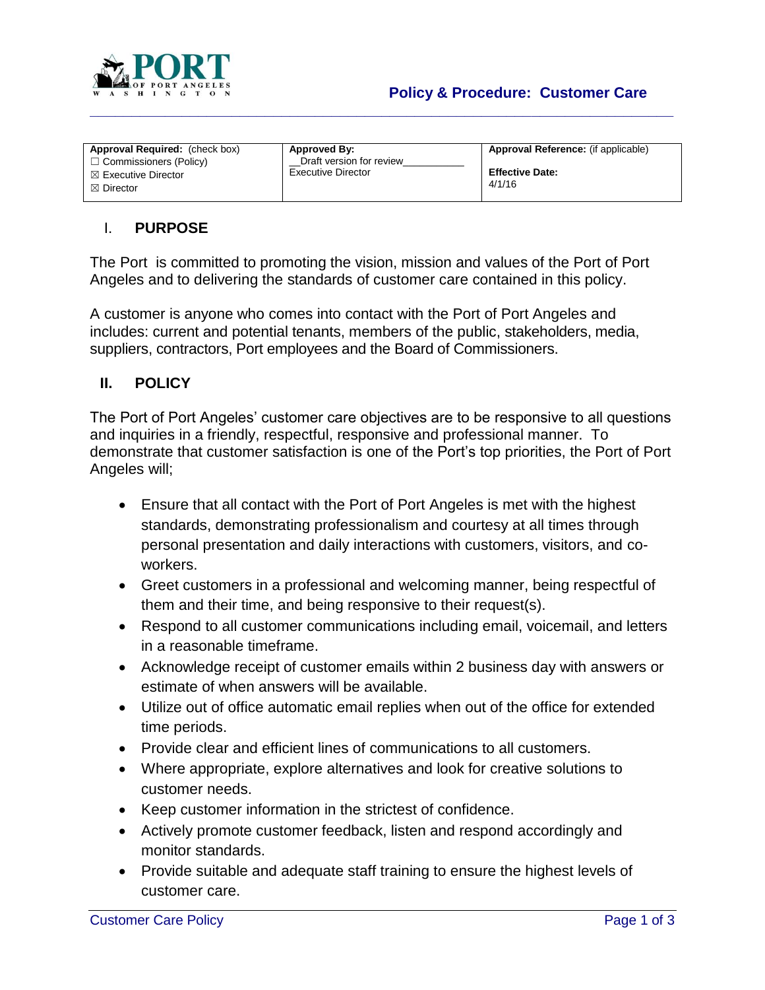

# **Policy & Procedure: Customer Care**

| <b>Approval Required:</b> (check box) | Approved By:             | Approval Reference: (if applicable) |
|---------------------------------------|--------------------------|-------------------------------------|
| $\Box$ Commissioners (Policy)         | Draft version for review |                                     |
| $\boxtimes$ Executive Director        | Executive Director       | <b>Effective Date:</b>              |
| $\boxtimes$ Director                  |                          | 4/1/16                              |
|                                       |                          |                                     |

**\_\_\_\_\_\_\_\_\_\_\_\_\_\_\_\_\_\_\_\_\_\_\_\_\_\_\_\_\_\_\_\_\_\_\_\_\_\_\_\_\_\_\_\_\_\_\_\_\_\_\_\_\_\_\_\_\_\_\_\_\_\_\_\_\_\_\_\_\_\_**

### I. **PURPOSE**

The Port is committed to promoting the vision, mission and values of the Port of Port Angeles and to delivering the standards of customer care contained in this policy.

A customer is anyone who comes into contact with the Port of Port Angeles and includes: current and potential tenants, members of the public, stakeholders, media, suppliers, contractors, Port employees and the Board of Commissioners.

#### **II. POLICY**

The Port of Port Angeles' customer care objectives are to be responsive to all questions and inquiries in a friendly, respectful, responsive and professional manner. To demonstrate that customer satisfaction is one of the Port's top priorities, the Port of Port Angeles will;

- Ensure that all contact with the Port of Port Angeles is met with the highest standards, demonstrating professionalism and courtesy at all times through personal presentation and daily interactions with customers, visitors, and coworkers.
- Greet customers in a professional and welcoming manner, being respectful of them and their time, and being responsive to their request(s).
- Respond to all customer communications including email, voicemail, and letters in a reasonable timeframe.
- Acknowledge receipt of customer emails within 2 business day with answers or estimate of when answers will be available.
- Utilize out of office automatic email replies when out of the office for extended time periods.
- Provide clear and efficient lines of communications to all customers.
- Where appropriate, explore alternatives and look for creative solutions to customer needs.
- Keep customer information in the strictest of confidence.
- Actively promote customer feedback, listen and respond accordingly and monitor standards.
- Provide suitable and adequate staff training to ensure the highest levels of customer care.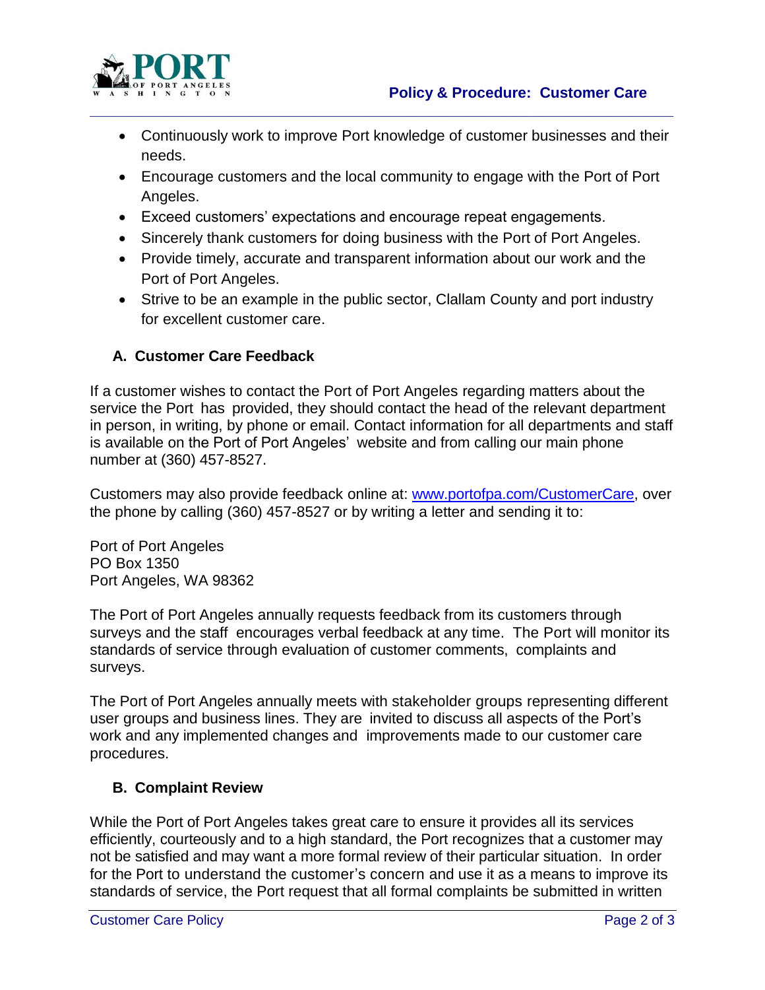

 Continuously work to improve Port knowledge of customer businesses and their needs.

**\_\_\_\_\_\_\_\_\_\_\_\_\_\_\_\_\_\_\_\_\_\_\_\_\_\_\_\_\_\_\_\_\_\_\_\_\_\_\_\_\_\_\_\_\_\_\_\_\_\_\_\_\_\_\_\_\_\_\_\_\_\_\_\_\_\_\_\_\_\_**

- Encourage customers and the local community to engage with the Port of Port Angeles.
- Exceed customers' expectations and encourage repeat engagements.
- Sincerely thank customers for doing business with the Port of Port Angeles.
- Provide timely, accurate and transparent information about our work and the Port of Port Angeles.
- Strive to be an example in the public sector, Clallam County and port industry for excellent customer care.

# **A. Customer Care Feedback**

If a customer wishes to contact the Port of Port Angeles regarding matters about the service the Port has provided, they should contact the head of the relevant department in person, in writing, by phone or email. Contact information for all departments and staff is available on the Port of Port Angeles' website and from calling our main phone number at (360) 457-8527.

Customers may also provide feedback online at: [www.portofpa.com/CustomerC](http://www.portofpa.com/CommunityVoice)are, over the phone by calling (360) 457-8527 or by writing a letter and sending it to:

Port of Port Angeles PO Box 1350 Port Angeles, WA 98362

The Port of Port Angeles annually requests feedback from its customers through surveys and the staff encourages verbal feedback at any time. The Port will monitor its standards of service through evaluation of customer comments, complaints and surveys.

The Port of Port Angeles annually meets with stakeholder groups representing different user groups and business lines. They are invited to discuss all aspects of the Port's work and any implemented changes and improvements made to our customer care procedures.

### **B. Complaint Review**

While the Port of Port Angeles takes great care to ensure it provides all its services efficiently, courteously and to a high standard, the Port recognizes that a customer may not be satisfied and may want a more formal review of their particular situation. In order for the Port to understand the customer's concern and use it as a means to improve its standards of service, the Port request that all formal complaints be submitted in written